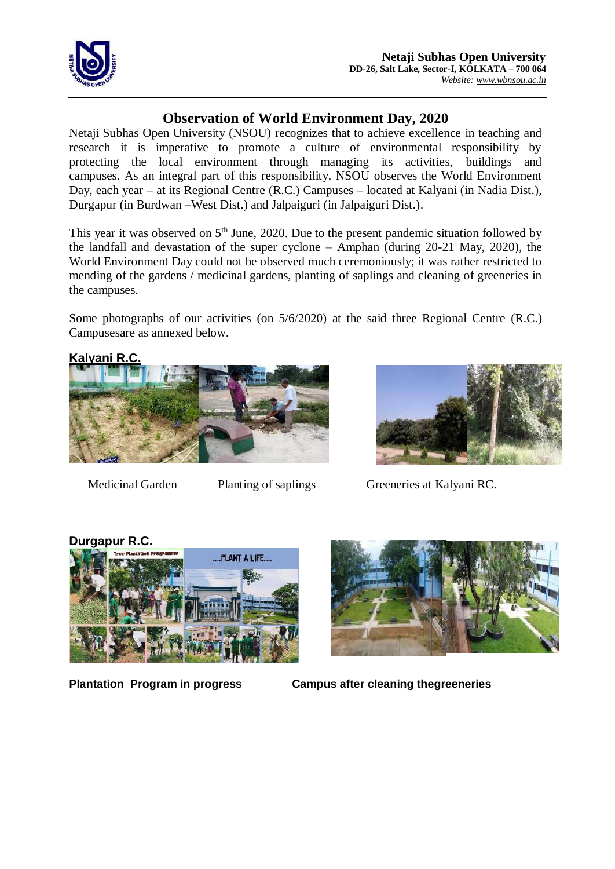

## **Observation of World Environment Day, 2020**

Netaji Subhas Open University (NSOU) recognizes that to achieve excellence in teaching and research it is imperative to promote a culture of environmental responsibility by protecting the local environment through managing its activities, buildings and campuses. As an integral part of this responsibility, NSOU observes the World Environment Day, each year – at its Regional Centre (R.C.) Campuses – located at Kalyani (in Nadia Dist.), Durgapur (in Burdwan –West Dist.) and Jalpaiguri (in Jalpaiguri Dist.).

This year it was observed on  $5<sup>th</sup>$  June, 2020. Due to the present pandemic situation followed by the landfall and devastation of the super cyclone – Amphan (during 20-21 May, 2020), the World Environment Day could not be observed much ceremoniously; it was rather restricted to mending of the gardens / medicinal gardens, planting of saplings and cleaning of greeneries in the campuses.

Some photographs of our activities (on 5/6/2020) at the said three Regional Centre (R.C.) Campusesare as annexed below.

**Kalyani R.C.** 





Medicinal Garden Planting of saplings Greeneries at Kalyani RC.





**Plantation Program in progress Campus after cleaning thegreeneries**